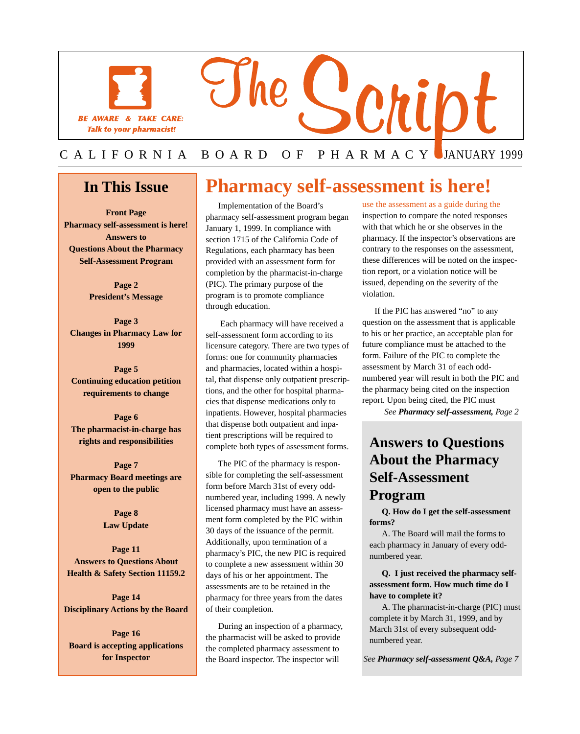

## **In This Issue**

I

**Front Page Pharmacy self-assessment is here! Answers to Questions About the Pharmacy Self-Assessment Program** 

> **Page 2 President's Message**

**Page 3 Changes in Pharmacy Law for 1999** 

**Page 5 Continuing education petition requirements to change** 

**Page 6 The pharmacist-in-charge has rights and responsibilities** 

**Page 7 Pharmacy Board meetings are open to the public** 

> **Page 8 Law Update**

**Page 11 Answers to Questions About Health & Safety Section 11159.2** 

**Page 14 Disciplinary Actions by the Board** 

**Page 16 Board is accepting applications for Inspector** 

## **Pharmacy self-assessment is here!**

Implementation of the Board's pharmacy self-assessment program began January 1, 1999. In compliance with section 1715 of the California Code of Regulations, each pharmacy has been provided with an assessment form for completion by the pharmacist-in-charge (PIC). The primary purpose of the program is to promote compliance through education.

 Each pharmacy will have received a self-assessment form according to its licensure category. There are two types of forms: one for community pharmacies and pharmacies, located within a hospital, that dispense only outpatient prescriptions, and the other for hospital pharmacies that dispense medications only to inpatients. However, hospital pharmacies that dispense both outpatient and inpatient prescriptions will be required to complete both types of assessment forms.

The PIC of the pharmacy is responsible for completing the self-assessment form before March 31st of every oddnumbered year, including 1999. A newly licensed pharmacy must have an assessment form completed by the PIC within 30 days of the issuance of the permit. Additionally, upon termination of a pharmacy's PIC, the new PIC is required to complete a new assessment within 30 days of his or her appointment. The assessments are to be retained in the pharmacy for three years from the dates of their completion.

During an inspection of a pharmacy, the pharmacist will be asked to provide the completed pharmacy assessment to the Board inspector. The inspector will

use the assessment as a guide during the inspection to compare the noted responses with that which he or she observes in the pharmacy. If the inspector's observations are contrary to the responses on the assessment, these differences will be noted on the inspection report, or a violation notice will be issued, depending on the severity of the violation.

If the PIC has answered "no" to any question on the assessment that is applicable to his or her practice, an acceptable plan for future compliance must be attached to the form. Failure of the PIC to complete the assessment by March 31 of each oddnumbered year will result in both the PIC and the pharmacy being cited on the inspection report. Upon being cited, the PIC must

*See Pharmacy self-assessment, Page 2* 

## **Answers to Questions About the Pharmacy Self-Assessment Program**

**Q. How do I get the self-assessment forms?** 

A. The Board will mail the forms to each pharmacy in January of every oddnumbered year.

#### **Q. I just received the pharmacy selfassessment form. How much time do I have to complete it?**

A. The pharmacist-in-charge (PIC) must complete it by March 31, 1999, and by March 31st of every subsequent oddnumbered year.

*See Pharmacy self-assessment Q&A, Page 7*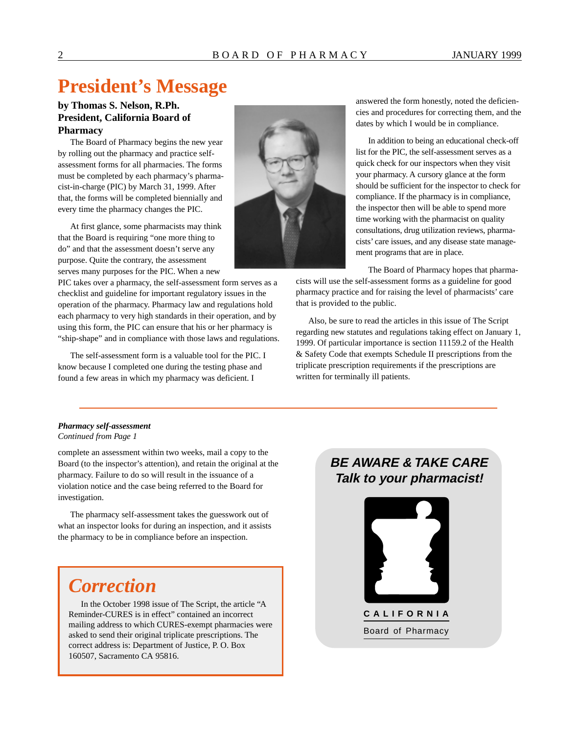## **President's Message**

### **by Thomas S. Nelson, R.Ph. President, California Board of Pharmacy**

The Board of Pharmacy begins the new year by rolling out the pharmacy and practice selfassessment forms for all pharmacies. The forms must be completed by each pharmacy's pharmacist-in-charge (PIC) by March 31, 1999. After that, the forms will be completed biennially and every time the pharmacy changes the PIC.

At first glance, some pharmacists may think that the Board is requiring "one more thing to do" and that the assessment doesn't serve any purpose. Quite the contrary, the assessment serves many purposes for the PIC. When a new

PIC takes over a pharmacy, the self-assessment form serves as a checklist and guideline for important regulatory issues in the operation of the pharmacy. Pharmacy law and regulations hold each pharmacy to very high standards in their operation, and by using this form, the PIC can ensure that his or her pharmacy is "ship-shape" and in compliance with those laws and regulations.

The self-assessment form is a valuable tool for the PIC. I know because I completed one during the testing phase and found a few areas in which my pharmacy was deficient. I



answered the form honestly, noted the deficiencies and procedures for correcting them, and the dates by which I would be in compliance.

In addition to being an educational check-off list for the PIC, the self-assessment serves as a quick check for our inspectors when they visit your pharmacy. A cursory glance at the form should be sufficient for the inspector to check for compliance. If the pharmacy is in compliance, the inspector then will be able to spend more time working with the pharmacist on quality consultations, drug utilization reviews, pharmacists' care issues, and any disease state management programs that are in place.

The Board of Pharmacy hopes that pharma-

cists will use the self-assessment forms as a guideline for good pharmacy practice and for raising the level of pharmacists' care that is provided to the public.

Also, be sure to read the articles in this issue of The Script regarding new statutes and regulations taking effect on January 1, 1999. Of particular importance is section 11159.2 of the Health & Safety Code that exempts Schedule II prescriptions from the triplicate prescription requirements if the prescriptions are written for terminally ill patients.

#### *Pharmacy self-assessment Continued from Page 1*

complete an assessment within two weeks, mail a copy to the Board (to the inspector's attention), and retain the original at the pharmacy. Failure to do so will result in the issuance of a violation notice and the case being referred to the Board for investigation.

The pharmacy self-assessment takes the guesswork out of what an inspector looks for during an inspection, and it assists the pharmacy to be in compliance before an inspection.

## *Correction*

In the October 1998 issue of The Script, the article "A Reminder-CURES is in effect" contained an incorrect mailing address to which CURES-exempt pharmacies were asked to send their original triplicate prescriptions. The correct address is: Department of Justice, P. O. Box 160507, Sacramento CA 95816.

## **BE AWARE & TAKE CARE Talk to your pharmacist!**

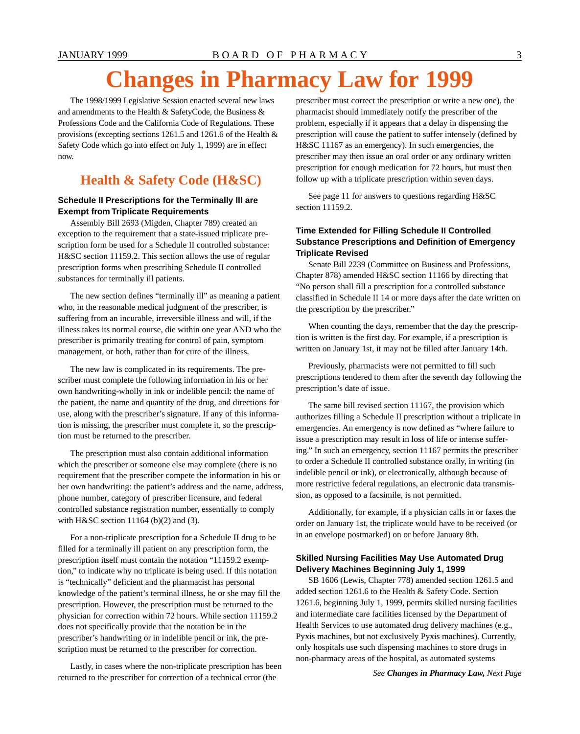# **Changes in Pharmacy Law for 1999**

The 1998/1999 Legislative Session enacted several new laws and amendments to the Health & SafetyCode, the Business & Professions Code and the California Code of Regulations. These provisions (excepting sections 1261.5 and 1261.6 of the Health & Safety Code which go into effect on July 1, 1999) are in effect now.

## **Health & Safety Code (H&SC)**

#### **Schedule II Prescriptions for the Terminally Ill are Exempt from Triplicate Requirements**

Assembly Bill 2693 (Migden, Chapter 789) created an exception to the requirement that a state-issued triplicate prescription form be used for a Schedule II controlled substance: H&SC section 11159.2. This section allows the use of regular prescription forms when prescribing Schedule II controlled substances for terminally ill patients.

The new section defines "terminally ill" as meaning a patient who, in the reasonable medical judgment of the prescriber, is suffering from an incurable, irreversible illness and will, if the illness takes its normal course, die within one year AND who the prescriber is primarily treating for control of pain, symptom management, or both, rather than for cure of the illness.

The new law is complicated in its requirements. The prescriber must complete the following information in his or her own handwriting-wholly in ink or indelible pencil: the name of the patient, the name and quantity of the drug, and directions for use, along with the prescriber's signature. If any of this information is missing, the prescriber must complete it, so the prescription must be returned to the prescriber.

The prescription must also contain additional information which the prescriber or someone else may complete (there is no requirement that the prescriber compete the information in his or her own handwriting: the patient's address and the name, address, phone number, category of prescriber licensure, and federal controlled substance registration number, essentially to comply with H&SC section 11164 (b)(2) and (3).

For a non-triplicate prescription for a Schedule II drug to be filled for a terminally ill patient on any prescription form, the prescription itself must contain the notation "11159.2 exemption," to indicate why no triplicate is being used. If this notation is "technically" deficient and the pharmacist has personal knowledge of the patient's terminal illness, he or she may fill the prescription. However, the prescription must be returned to the physician for correction within 72 hours. While section 11159.2 does not specifically provide that the notation be in the prescriber's handwriting or in indelible pencil or ink, the prescription must be returned to the prescriber for correction.

Lastly, in cases where the non-triplicate prescription has been **See Changes in Pharmacy Law**, *Next Page* **Changes in Pharmacy Law**, *Next Page* **Changes** in **Pharmacy Law**, *Next Page* 

prescriber must correct the prescription or write a new one), the pharmacist should immediately notify the prescriber of the problem, especially if it appears that a delay in dispensing the prescription will cause the patient to suffer intensely (defined by H&SC 11167 as an emergency). In such emergencies, the prescriber may then issue an oral order or any ordinary written prescription for enough medication for 72 hours, but must then follow up with a triplicate prescription within seven days.

See page 11 for answers to questions regarding H&SC section 11159.2.

#### **Time Extended for Filling Schedule II Controlled Substance Prescriptions and Definition of Emergency Triplicate Revised**

Senate Bill 2239 (Committee on Business and Professions, Chapter 878) amended H&SC section 11166 by directing that "No person shall fill a prescription for a controlled substance classified in Schedule II 14 or more days after the date written on the prescription by the prescriber."

When counting the days, remember that the day the prescription is written is the first day. For example, if a prescription is written on January 1st, it may not be filled after January 14th.

Previously, pharmacists were not permitted to fill such prescriptions tendered to them after the seventh day following the prescription's date of issue.

The same bill revised section 11167, the provision which authorizes filling a Schedule II prescription without a triplicate in emergencies. An emergency is now defined as "where failure to issue a prescription may result in loss of life or intense suffering." In such an emergency, section 11167 permits the prescriber to order a Schedule II controlled substance orally, in writing (in indelible pencil or ink), or electronically, although because of more restrictive federal regulations, an electronic data transmission, as opposed to a facsimile, is not permitted.

Additionally, for example, if a physician calls in or faxes the order on January 1st, the triplicate would have to be received (or in an envelope postmarked) on or before January 8th.

#### **Skilled Nursing Facilities May Use Automated Drug Delivery Machines Beginning July 1, 1999**

SB 1606 (Lewis, Chapter 778) amended section 1261.5 and added section 1261.6 to the Health & Safety Code. Section 1261.6, beginning July 1, 1999, permits skilled nursing facilities and intermediate care facilities licensed by the Department of Health Services to use automated drug delivery machines (e.g., Pyxis machines, but not exclusively Pyxis machines). Currently, only hospitals use such dispensing machines to store drugs in non-pharmacy areas of the hospital, as automated systems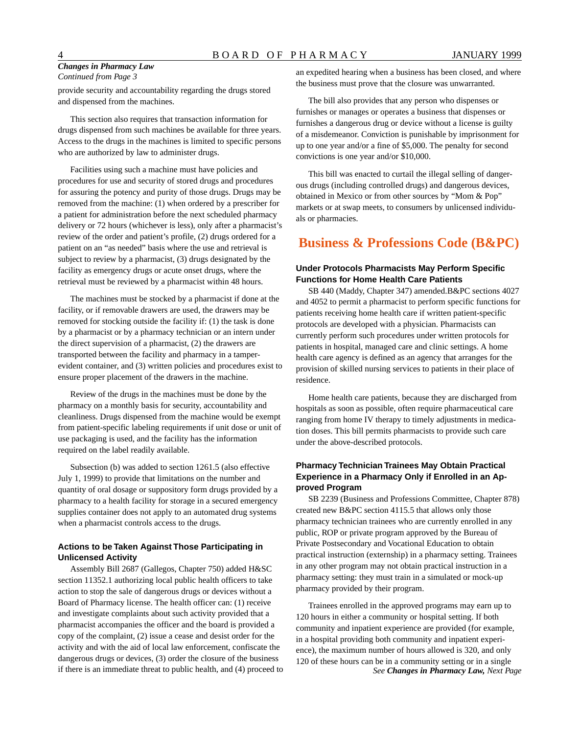#### *Changes in Pharmacy Law Continued from Page 3*

provide security and accountability regarding the drugs stored and dispensed from the machines.

This section also requires that transaction information for drugs dispensed from such machines be available for three years. Access to the drugs in the machines is limited to specific persons who are authorized by law to administer drugs.

Facilities using such a machine must have policies and procedures for use and security of stored drugs and procedures for assuring the potency and purity of those drugs. Drugs may be removed from the machine: (1) when ordered by a prescriber for a patient for administration before the next scheduled pharmacy delivery or 72 hours (whichever is less), only after a pharmacist's review of the order and patient's profile, (2) drugs ordered for a patient on an "as needed" basis where the use and retrieval is subject to review by a pharmacist, (3) drugs designated by the facility as emergency drugs or acute onset drugs, where the retrieval must be reviewed by a pharmacist within 48 hours.

The machines must be stocked by a pharmacist if done at the facility, or if removable drawers are used, the drawers may be removed for stocking outside the facility if: (1) the task is done by a pharmacist or by a pharmacy technician or an intern under the direct supervision of a pharmacist, (2) the drawers are transported between the facility and pharmacy in a tamperevident container, and (3) written policies and procedures exist to ensure proper placement of the drawers in the machine.

Review of the drugs in the machines must be done by the pharmacy on a monthly basis for security, accountability and cleanliness. Drugs dispensed from the machine would be exempt from patient-specific labeling requirements if unit dose or unit of use packaging is used, and the facility has the information required on the label readily available.

Subsection (b) was added to section 1261.5 (also effective July 1, 1999) to provide that limitations on the number and quantity of oral dosage or suppository form drugs provided by a pharmacy to a health facility for storage in a secured emergency supplies container does not apply to an automated drug systems when a pharmacist controls access to the drugs.

#### **Actions to be Taken Against Those Participating in Unlicensed Activity**

Assembly Bill 2687 (Gallegos, Chapter 750) added H&SC section 11352.1 authorizing local public health officers to take action to stop the sale of dangerous drugs or devices without a Board of Pharmacy license. The health officer can: (1) receive and investigate complaints about such activity provided that a pharmacist accompanies the officer and the board is provided a copy of the complaint, (2) issue a cease and desist order for the activity and with the aid of local law enforcement, confiscate the dangerous drugs or devices, (3) order the closure of the business if there is an immediate threat to public health, and (4) proceed to an expedited hearing when a business has been closed, and where the business must prove that the closure was unwarranted.

The bill also provides that any person who dispenses or furnishes or manages or operates a business that dispenses or furnishes a dangerous drug or device without a license is guilty of a misdemeanor. Conviction is punishable by imprisonment for up to one year and/or a fine of \$5,000. The penalty for second convictions is one year and/or \$10,000.

This bill was enacted to curtail the illegal selling of dangerous drugs (including controlled drugs) and dangerous devices, obtained in Mexico or from other sources by "Mom & Pop" markets or at swap meets, to consumers by unlicensed individuals or pharmacies.

## **Business & Professions Code (B&PC)**

#### **Under Protocols Pharmacists May Perform Specific Functions for Home Health Care Patients**

SB 440 (Maddy, Chapter 347) amended.B&PC sections 4027 and 4052 to permit a pharmacist to perform specific functions for patients receiving home health care if written patient-specific protocols are developed with a physician. Pharmacists can currently perform such procedures under written protocols for patients in hospital, managed care and clinic settings. A home health care agency is defined as an agency that arranges for the provision of skilled nursing services to patients in their place of residence.

Home health care patients, because they are discharged from hospitals as soon as possible, often require pharmaceutical care ranging from home IV therapy to timely adjustments in medication doses. This bill permits pharmacists to provide such care under the above-described protocols.

#### **Pharmacy Technician Trainees May Obtain Practical Experience in a Pharmacy Only if Enrolled in an Approved Program**

SB 2239 (Business and Professions Committee, Chapter 878) created new B&PC section 4115.5 that allows only those pharmacy technician trainees who are currently enrolled in any public, ROP or private program approved by the Bureau of Private Postsecondary and Vocational Education to obtain practical instruction (externship) in a pharmacy setting. Trainees in any other program may not obtain practical instruction in a pharmacy setting: they must train in a simulated or mock-up pharmacy provided by their program.

Trainees enrolled in the approved programs may earn up to 120 hours in either a community or hospital setting. If both community and inpatient experience are provided (for example, in a hospital providing both community and inpatient experience), the maximum number of hours allowed is 320, and only 120 of these hours can be in a community setting or in a single *See Changes in Pharmacy Law, Next Page*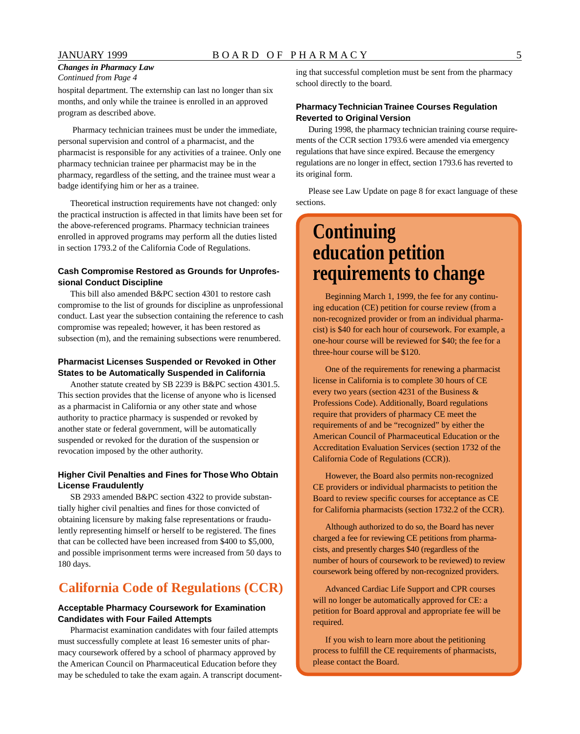#### *Changes in Pharmacy Law Continued from Page 4*

hospital department. The externship can last no longer than six months, and only while the trainee is enrolled in an approved program as described above.

 Pharmacy technician trainees must be under the immediate, personal supervision and control of a pharmacist, and the pharmacist is responsible for any activities of a trainee. Only one pharmacy technician trainee per pharmacist may be in the pharmacy, regardless of the setting, and the trainee must wear a badge identifying him or her as a trainee.

Theoretical instruction requirements have not changed: only the practical instruction is affected in that limits have been set for the above-referenced programs. Pharmacy technician trainees enrolled in approved programs may perform all the duties listed in section 1793.2 of the California Code of Regulations.

#### **Cash Compromise Restored as Grounds for Unprofessional Conduct Discipline**

This bill also amended B&PC section 4301 to restore cash compromise to the list of grounds for discipline as unprofessional conduct. Last year the subsection containing the reference to cash compromise was repealed; however, it has been restored as subsection (m), and the remaining subsections were renumbered.

#### **Pharmacist Licenses Suspended or Revoked in Other States to be Automatically Suspended in California**

Another statute created by SB 2239 is B&PC section 4301.5. This section provides that the license of anyone who is licensed as a pharmacist in California or any other state and whose authority to practice pharmacy is suspended or revoked by another state or federal government, will be automatically suspended or revoked for the duration of the suspension or revocation imposed by the other authority.

#### **Higher Civil Penalties and Fines for Those Who Obtain License Fraudulently**

SB 2933 amended B&PC section 4322 to provide substantially higher civil penalties and fines for those convicted of obtaining licensure by making false representations or fraudulently representing himself or herself to be registered. The fines that can be collected have been increased from \$400 to \$5,000, and possible imprisonment terms were increased from 50 days to 180 days.

## **California Code of Regulations (CCR)**

#### **Acceptable Pharmacy Coursework for Examination Candidates with Four Failed Attempts**

Pharmacist examination candidates with four failed attempts must successfully complete at least 16 semester units of pharmacy coursework offered by a school of pharmacy approved by the American Council on Pharmaceutical Education before they may be scheduled to take the exam again. A transcript documenting that successful completion must be sent from the pharmacy school directly to the board.

#### **Pharmacy Technician Trainee Courses Regulation Reverted to Original Version**

During 1998, the pharmacy technician training course requirements of the CCR section 1793.6 were amended via emergency regulations that have since expired. Because the emergency regulations are no longer in effect, section 1793.6 has reverted to its original form.

Please see Law Update on page 8 for exact language of these sections.

## **Continuing education petition requirements to change**

Beginning March 1, 1999, the fee for any continuing education (CE) petition for course review (from a non-recognized provider or from an individual pharmacist) is \$40 for each hour of coursework. For example, a one-hour course will be reviewed for \$40; the fee for a three-hour course will be \$120.

One of the requirements for renewing a pharmacist license in California is to complete 30 hours of CE every two years (section 4231 of the Business & Professions Code). Additionally, Board regulations require that providers of pharmacy CE meet the requirements of and be "recognized" by either the American Council of Pharmaceutical Education or the Accreditation Evaluation Services (section 1732 of the California Code of Regulations (CCR)).

However, the Board also permits non-recognized CE providers or individual pharmacists to petition the Board to review specific courses for acceptance as CE for California pharmacists (section 1732.2 of the CCR).

Although authorized to do so, the Board has never charged a fee for reviewing CE petitions from pharmacists, and presently charges \$40 (regardless of the number of hours of coursework to be reviewed) to review coursework being offered by non-recognized providers.

Advanced Cardiac Life Support and CPR courses will no longer be automatically approved for CE: a petition for Board approval and appropriate fee will be required.

If you wish to learn more about the petitioning process to fulfill the CE requirements of pharmacists, please contact the Board.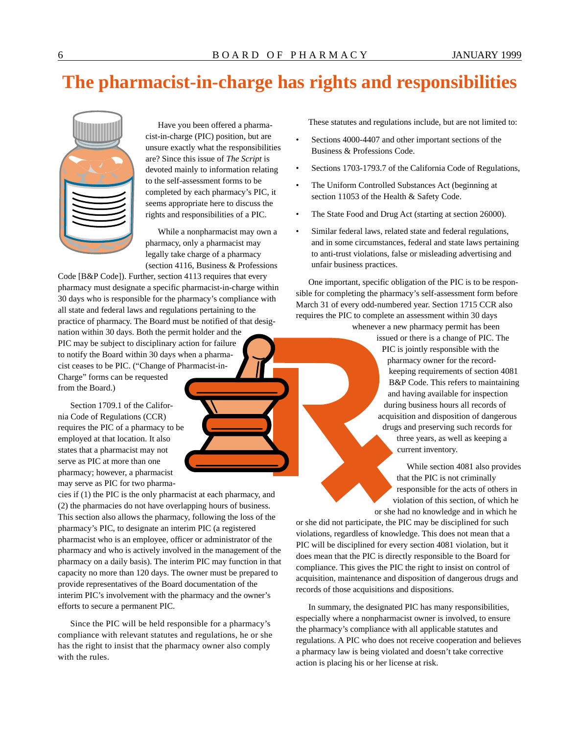# **The pharmacist-in-charge has rights and responsibilities**



Have you been offered a pharmacist-in-charge (PIC) position, but are unsure exactly what the responsibilities are? Since this issue of *The Script* is devoted mainly to information relating to the self-assessment forms to be completed by each pharmacy's PIC, it seems appropriate here to discuss the rights and responsibilities of a PIC.

While a nonpharmacist may own a pharmacy, only a pharmacist may legally take charge of a pharmacy (section 4116, Business & Professions

Code [B&P Code]). Further, section 4113 requires that every pharmacy must designate a specific pharmacist-in-charge within 30 days who is responsible for the pharmacy's compliance with all state and federal laws and regulations pertaining to the practice of pharmacy. The Board must be notified of that designation within 30 days. Both the permit holder and the PIC may be subject to disciplinary action for failure to notify the Board within 30 days when a pharmacist ceases to be PIC. ("Change of Pharmacist-in-Charge" forms can be requested from the Board.)

Section 1709.1 of the California Code of Regulations (CCR) requires the PIC of a pharmacy to be employed at that location. It also states that a pharmacist may not serve as PIC at more than one pharmacy; however, a pharmacist may serve as PIC for two pharma-

cies if (1) the PIC is the only pharmacist at each pharmacy, and (2) the pharmacies do not have overlapping hours of business. This section also allows the pharmacy, following the loss of the pharmacy's PIC, to designate an interim PIC (a registered pharmacist who is an employee, officer or administrator of the pharmacy and who is actively involved in the management of the pharmacy on a daily basis). The interim PIC may function in that capacity no more than 120 days. The owner must be prepared to provide representatives of the Board documentation of the interim PIC's involvement with the pharmacy and the owner's efforts to secure a permanent PIC.

Since the PIC will be held responsible for a pharmacy's compliance with relevant statutes and regulations, he or she has the right to insist that the pharmacy owner also comply with the rules.

These statutes and regulations include, but are not limited to:

- Sections 4000-4407 and other important sections of the Business & Professions Code.
- Sections 1703-1793.7 of the California Code of Regulations,
- The Uniform Controlled Substances Act (beginning at section 11053 of the Health & Safety Code.
- The State Food and Drug Act (starting at section 26000).
- Similar federal laws, related state and federal regulations, and in some circumstances, federal and state laws pertaining to anti-trust violations, false or misleading advertising and unfair business practices.

One important, specific obligation of the PIC is to be responsible for completing the pharmacy's self-assessment form before March 31 of every odd-numbered year. Section 1715 CCR also requires the PIC to complete an assessment within 30 days whenever a new pharmacy permit has been

issued or there is a change of PIC. The PIC is jointly responsible with the pharmacy owner for the recordkeeping requirements of section 4081 B&P Code. This refers to maintaining and having available for inspection during business hours all records of acquisition and disposition of dangerous drugs and preserving such records for three years, as well as keeping a current inventory.

While section 4081 also provides that the PIC is not criminally responsible for the acts of others in violation of this section, of which he or she had no knowledge and in which he

or she did not participate, the PIC may be disciplined for such violations, regardless of knowledge. This does not mean that a PIC will be disciplined for every section 4081 violation, but it does mean that the PIC is directly responsible to the Board for compliance. This gives the PIC the right to insist on control of acquisition, maintenance and disposition of dangerous drugs and records of those acquisitions and dispositions.

In summary, the designated PIC has many responsibilities, especially where a nonpharmacist owner is involved, to ensure the pharmacy's compliance with all applicable statutes and regulations. A PIC who does not receive cooperation and believes a pharmacy law is being violated and doesn't take corrective action is placing his or her license at risk.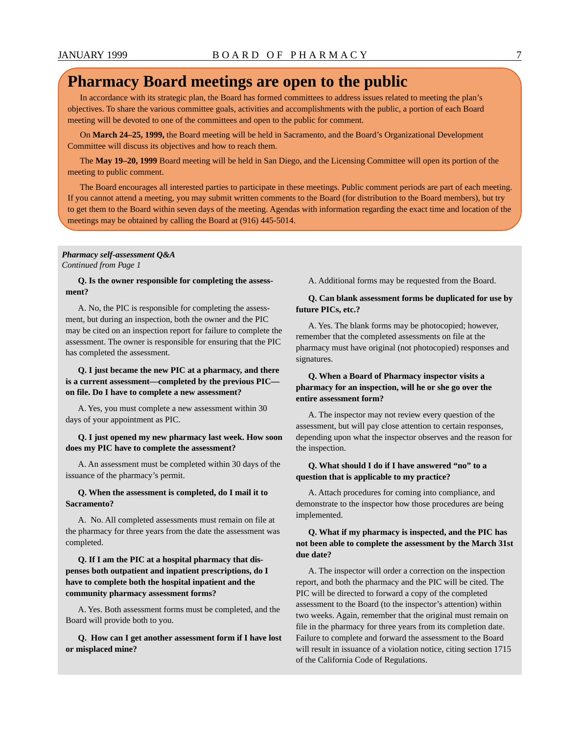## **Pharmacy Board meetings are open to the public**

In accordance with its strategic plan, the Board has formed committees to address issues related to meeting the plan's objectives. To share the various committee goals, activities and accomplishments with the public, a portion of each Board meeting will be devoted to one of the committees and open to the public for comment.

On **March 24–25, 1999,** the Board meeting will be held in Sacramento, and the Board's Organizational Development Committee will discuss its objectives and how to reach them.

The **May 19–20, 1999** Board meeting will be held in San Diego, and the Licensing Committee will open its portion of the meeting to public comment.

The Board encourages all interested parties to participate in these meetings. Public comment periods are part of each meeting. If you cannot attend a meeting, you may submit written comments to the Board (for distribution to the Board members), but try to get them to the Board within seven days of the meeting. Agendas with information regarding the exact time and location of the meetings may be obtained by calling the Board at (916) 445-5014.

#### *Pharmacy self-assessment Q&A Continued from Page 1*

**Q. Is the owner responsible for completing the assessment?** 

A. No, the PIC is responsible for completing the assessment, but during an inspection, both the owner and the PIC may be cited on an inspection report for failure to complete the assessment. The owner is responsible for ensuring that the PIC has completed the assessment.

#### **Q. I just became the new PIC at a pharmacy, and there is a current assessment—completed by the previous PIC on file. Do I have to complete a new assessment?**

A. Yes, you must complete a new assessment within 30 days of your appointment as PIC.

**Q. I just opened my new pharmacy last week. How soon does my PIC have to complete the assessment?** 

A. An assessment must be completed within 30 days of the issuance of the pharmacy's permit.

#### **Q. When the assessment is completed, do I mail it to Sacramento?**

A. No. All completed assessments must remain on file at the pharmacy for three years from the date the assessment was completed.

#### **Q. If I am the PIC at a hospital pharmacy that dispenses both outpatient and inpatient prescriptions, do I have to complete both the hospital inpatient and the community pharmacy assessment forms?**

A. Yes. Both assessment forms must be completed, and the Board will provide both to you.

**Q. How can I get another assessment form if I have lost or misplaced mine?** 

A. Additional forms may be requested from the Board.

#### **Q. Can blank assessment forms be duplicated for use by future PICs, etc.?**

A. Yes. The blank forms may be photocopied; however, remember that the completed assessments on file at the pharmacy must have original (not photocopied) responses and signatures.

#### **Q. When a Board of Pharmacy inspector visits a pharmacy for an inspection, will he or she go over the entire assessment form?**

A. The inspector may not review every question of the assessment, but will pay close attention to certain responses, depending upon what the inspector observes and the reason for the inspection.

#### **Q. What should I do if I have answered "no" to a question that is applicable to my practice?**

A. Attach procedures for coming into compliance, and demonstrate to the inspector how those procedures are being implemented.

#### **Q. What if my pharmacy is inspected, and the PIC has not been able to complete the assessment by the March 31st due date?**

A. The inspector will order a correction on the inspection report, and both the pharmacy and the PIC will be cited. The PIC will be directed to forward a copy of the completed assessment to the Board (to the inspector's attention) within two weeks. Again, remember that the original must remain on file in the pharmacy for three years from its completion date. Failure to complete and forward the assessment to the Board will result in issuance of a violation notice, citing section 1715 of the California Code of Regulations.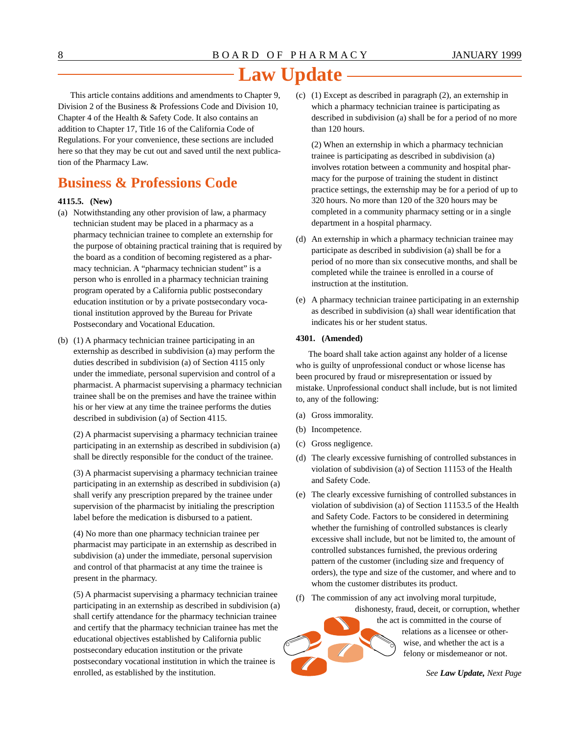This article contains additions and amendments to Chapter 9, Division 2 of the Business & Professions Code and Division 10, Chapter 4 of the Health & Safety Code. It also contains an addition to Chapter 17, Title 16 of the California Code of Regulations. For your convenience, these sections are included here so that they may be cut out and saved until the next publication of the Pharmacy Law.

## **Business & Professions Code**

#### **4115.5. (New)**

- (a) Notwithstanding any other provision of law, a pharmacy technician student may be placed in a pharmacy as a pharmacy technician trainee to complete an externship for the purpose of obtaining practical training that is required by the board as a condition of becoming registered as a pharmacy technician. A "pharmacy technician student" is a person who is enrolled in a pharmacy technician training program operated by a California public postsecondary education institution or by a private postsecondary vocational institution approved by the Bureau for Private Postsecondary and Vocational Education.
- (b) (1) A pharmacy technician trainee participating in an externship as described in subdivision (a) may perform the duties described in subdivision (a) of Section 4115 only under the immediate, personal supervision and control of a pharmacist. A pharmacist supervising a pharmacy technician trainee shall be on the premises and have the trainee within his or her view at any time the trainee performs the duties described in subdivision (a) of Section 4115.

(2) A pharmacist supervising a pharmacy technician trainee participating in an externship as described in subdivision (a) shall be directly responsible for the conduct of the trainee.

(3) A pharmacist supervising a pharmacy technician trainee participating in an externship as described in subdivision (a) shall verify any prescription prepared by the trainee under supervision of the pharmacist by initialing the prescription label before the medication is disbursed to a patient.

(4) No more than one pharmacy technician trainee per pharmacist may participate in an externship as described in subdivision (a) under the immediate, personal supervision and control of that pharmacist at any time the trainee is present in the pharmacy.

(5) A pharmacist supervising a pharmacy technician trainee participating in an externship as described in subdivision (a) shall certify attendance for the pharmacy technician trainee and certify that the pharmacy technician trainee has met the educational objectives established by California public postsecondary education institution or the private postsecondary vocational institution in which the trainee is enrolled, as established by the institution.

(c) (1) Except as described in paragraph (2), an externship in which a pharmacy technician trainee is participating as described in subdivision (a) shall be for a period of no more than 120 hours.

(2) When an externship in which a pharmacy technician trainee is participating as described in subdivision (a) involves rotation between a community and hospital pharmacy for the purpose of training the student in distinct practice settings, the externship may be for a period of up to 320 hours. No more than 120 of the 320 hours may be completed in a community pharmacy setting or in a single department in a hospital pharmacy.

- (d) An externship in which a pharmacy technician trainee may participate as described in subdivision (a) shall be for a period of no more than six consecutive months, and shall be completed while the trainee is enrolled in a course of instruction at the institution.
- (e) A pharmacy technician trainee participating in an externship as described in subdivision (a) shall wear identification that indicates his or her student status.

#### **4301. (Amended)**

The board shall take action against any holder of a license who is guilty of unprofessional conduct or whose license has been procured by fraud or misrepresentation or issued by mistake. Unprofessional conduct shall include, but is not limited to, any of the following:

- (a) Gross immorality.
- (b) Incompetence.
- (c) Gross negligence.
- (d) The clearly excessive furnishing of controlled substances in violation of subdivision (a) of Section 11153 of the Health and Safety Code.
- (e) The clearly excessive furnishing of controlled substances in violation of subdivision (a) of Section 11153.5 of the Health and Safety Code. Factors to be considered in determining whether the furnishing of controlled substances is clearly excessive shall include, but not be limited to, the amount of controlled substances furnished, the previous ordering pattern of the customer (including size and frequency of orders), the type and size of the customer, and where and to whom the customer distributes its product.
- (f) The commission of any act involving moral turpitude,



the act is committed in the course of relations as a licensee or otherwise, and whether the act is a felony or misdemeanor or not.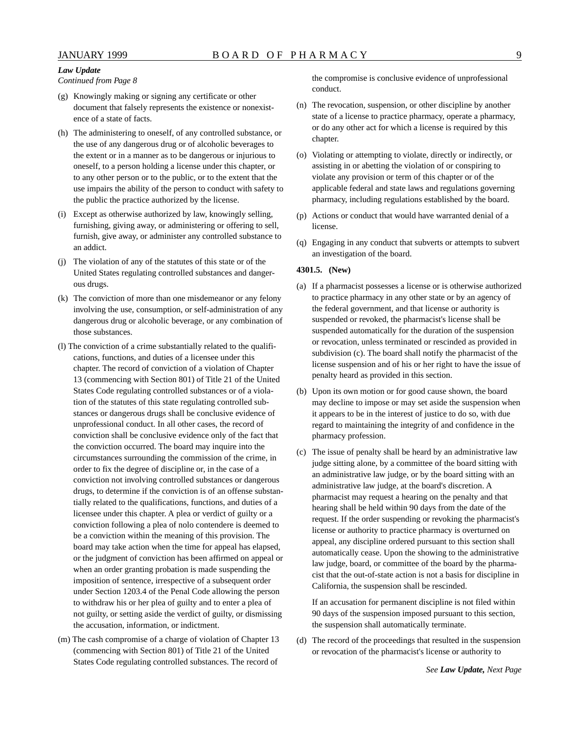*Continued from Page 8* 

- (g) Knowingly making or signing any certificate or other document that falsely represents the existence or nonexistence of a state of facts.
- (h) The administering to oneself, of any controlled substance, or the use of any dangerous drug or of alcoholic beverages to the extent or in a manner as to be dangerous or injurious to oneself, to a person holding a license under this chapter, or to any other person or to the public, or to the extent that the use impairs the ability of the person to conduct with safety to the public the practice authorized by the license.
- (i) Except as otherwise authorized by law, knowingly selling, furnishing, giving away, or administering or offering to sell, furnish, give away, or administer any controlled substance to an addict.
- (j) The violation of any of the statutes of this state or of the United States regulating controlled substances and dangerous drugs.
- (k) The conviction of more than one misdemeanor or any felony involving the use, consumption, or self-administration of any dangerous drug or alcoholic beverage, or any combination of those substances.
- (l) The conviction of a crime substantially related to the qualifications, functions, and duties of a licensee under this chapter. The record of conviction of a violation of Chapter 13 (commencing with Section 801) of Title 21 of the United States Code regulating controlled substances or of a violation of the statutes of this state regulating controlled substances or dangerous drugs shall be conclusive evidence of unprofessional conduct. In all other cases, the record of conviction shall be conclusive evidence only of the fact that the conviction occurred. The board may inquire into the circumstances surrounding the commission of the crime, in order to fix the degree of discipline or, in the case of a conviction not involving controlled substances or dangerous drugs, to determine if the conviction is of an offense substantially related to the qualifications, functions, and duties of a licensee under this chapter. A plea or verdict of guilty or a conviction following a plea of nolo contendere is deemed to be a conviction within the meaning of this provision. The board may take action when the time for appeal has elapsed, or the judgment of conviction has been affirmed on appeal or when an order granting probation is made suspending the imposition of sentence, irrespective of a subsequent order under Section 1203.4 of the Penal Code allowing the person to withdraw his or her plea of guilty and to enter a plea of not guilty, or setting aside the verdict of guilty, or dismissing the accusation, information, or indictment.
- (m) The cash compromise of a charge of violation of Chapter 13 (commencing with Section 801) of Title 21 of the United States Code regulating controlled substances. The record of

the compromise is conclusive evidence of unprofessional conduct.

- (n) The revocation, suspension, or other discipline by another state of a license to practice pharmacy, operate a pharmacy, or do any other act for which a license is required by this chapter.
- (o) Violating or attempting to violate, directly or indirectly, or assisting in or abetting the violation of or conspiring to violate any provision or term of this chapter or of the applicable federal and state laws and regulations governing pharmacy, including regulations established by the board.
- (p) Actions or conduct that would have warranted denial of a license.
- (q) Engaging in any conduct that subverts or attempts to subvert an investigation of the board.

#### **4301.5. (New)**

- (a) If a pharmacist possesses a license or is otherwise authorized to practice pharmacy in any other state or by an agency of the federal government, and that license or authority is suspended or revoked, the pharmacist's license shall be suspended automatically for the duration of the suspension or revocation, unless terminated or rescinded as provided in subdivision (c). The board shall notify the pharmacist of the license suspension and of his or her right to have the issue of penalty heard as provided in this section.
- (b) Upon its own motion or for good cause shown, the board may decline to impose or may set aside the suspension when it appears to be in the interest of justice to do so, with due regard to maintaining the integrity of and confidence in the pharmacy profession.
- (c) The issue of penalty shall be heard by an administrative law judge sitting alone, by a committee of the board sitting with an administrative law judge, or by the board sitting with an administrative law judge, at the board's discretion. A pharmacist may request a hearing on the penalty and that hearing shall be held within 90 days from the date of the request. If the order suspending or revoking the pharmacist's license or authority to practice pharmacy is overturned on appeal, any discipline ordered pursuant to this section shall automatically cease. Upon the showing to the administrative law judge, board, or committee of the board by the pharmacist that the out-of-state action is not a basis for discipline in California, the suspension shall be rescinded.

If an accusation for permanent discipline is not filed within 90 days of the suspension imposed pursuant to this section, the suspension shall automatically terminate.

(d) The record of the proceedings that resulted in the suspension or revocation of the pharmacist's license or authority to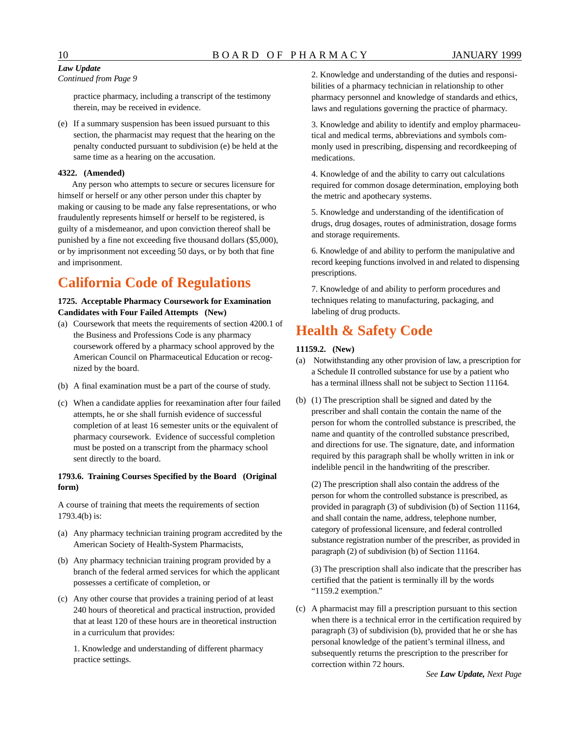#### *Continued from Page 9*

practice pharmacy, including a transcript of the testimony therein, may be received in evidence.

(e) If a summary suspension has been issued pursuant to this section, the pharmacist may request that the hearing on the penalty conducted pursuant to subdivision (e) be held at the same time as a hearing on the accusation.

#### **4322. (Amended)**

Any person who attempts to secure or secures licensure for himself or herself or any other person under this chapter by making or causing to be made any false representations, or who fraudulently represents himself or herself to be registered, is guilty of a misdemeanor, and upon conviction thereof shall be punished by a fine not exceeding five thousand dollars (\$5,000), or by imprisonment not exceeding 50 days, or by both that fine and imprisonment.

## **California Code of Regulations**

#### **1725. Acceptable Pharmacy Coursework for Examination Candidates with Four Failed Attempts (New)**

- (a) Coursework that meets the requirements of section 4200.1 of the Business and Professions Code is any pharmacy coursework offered by a pharmacy school approved by the American Council on Pharmaceutical Education or recognized by the board.
- (b) A final examination must be a part of the course of study.
- (c) When a candidate applies for reexamination after four failed attempts, he or she shall furnish evidence of successful completion of at least 16 semester units or the equivalent of pharmacy coursework. Evidence of successful completion must be posted on a transcript from the pharmacy school sent directly to the board.

#### **1793.6. Training Courses Specified by the Board (Original form)**

A course of training that meets the requirements of section 1793.4(b) is:

- (a) Any pharmacy technician training program accredited by the American Society of Health-System Pharmacists,
- (b) Any pharmacy technician training program provided by a branch of the federal armed services for which the applicant possesses a certificate of completion, or
- (c) Any other course that provides a training period of at least 240 hours of theoretical and practical instruction, provided that at least 120 of these hours are in theoretical instruction in a curriculum that provides:

1. Knowledge and understanding of different pharmacy practice settings.

2. Knowledge and understanding of the duties and responsibilities of a pharmacy technician in relationship to other pharmacy personnel and knowledge of standards and ethics, laws and regulations governing the practice of pharmacy.

3. Knowledge and ability to identify and employ pharmaceutical and medical terms, abbreviations and symbols commonly used in prescribing, dispensing and recordkeeping of medications.

4. Knowledge of and the ability to carry out calculations required for common dosage determination, employing both the metric and apothecary systems.

5. Knowledge and understanding of the identification of drugs, drug dosages, routes of administration, dosage forms and storage requirements.

6. Knowledge of and ability to perform the manipulative and record keeping functions involved in and related to dispensing prescriptions.

7. Knowledge of and ability to perform procedures and techniques relating to manufacturing, packaging, and labeling of drug products.

## **Health & Safety Code**

#### **11159.2. (New)**

- (a) Notwithstanding any other provision of law, a prescription for a Schedule II controlled substance for use by a patient who has a terminal illness shall not be subject to Section 11164.
- (b) (1) The prescription shall be signed and dated by the prescriber and shall contain the contain the name of the person for whom the controlled substance is prescribed, the name and quantity of the controlled substance prescribed, and directions for use. The signature, date, and information required by this paragraph shall be wholly written in ink or indelible pencil in the handwriting of the prescriber.

(2) The prescription shall also contain the address of the person for whom the controlled substance is prescribed, as provided in paragraph (3) of subdivision (b) of Section 11164, and shall contain the name, address, telephone number, category of professional licensure, and federal controlled substance registration number of the prescriber, as provided in paragraph (2) of subdivision (b) of Section 11164.

(3) The prescription shall also indicate that the prescriber has certified that the patient is terminally ill by the words "1159.2 exemption."

(c) A pharmacist may fill a prescription pursuant to this section when there is a technical error in the certification required by paragraph (3) of subdivision (b), provided that he or she has personal knowledge of the patient's terminal illness, and subsequently returns the prescription to the prescriber for correction within 72 hours.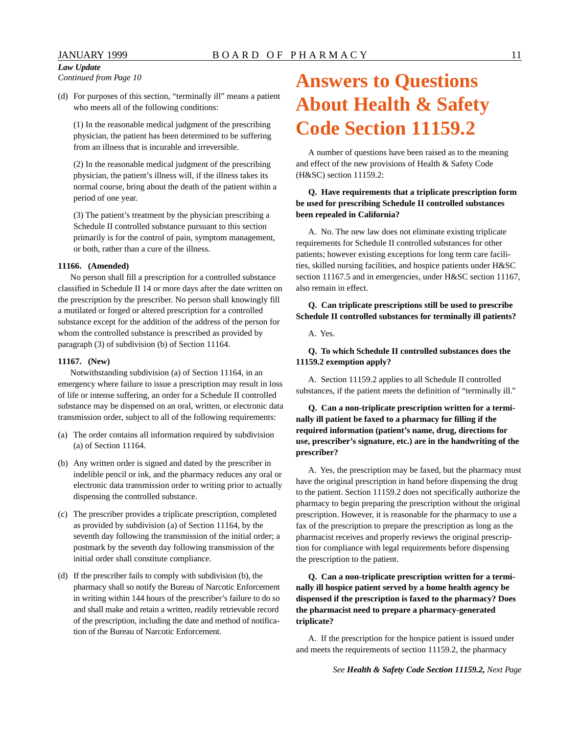*Continued from Page 10* 

(d) For purposes of this section, "terminally ill" means a patient who meets all of the following conditions:

(1) In the reasonable medical judgment of the prescribing physician, the patient has been determined to be suffering from an illness that is incurable and irreversible.

(2) In the reasonable medical judgment of the prescribing physician, the patient's illness will, if the illness takes its normal course, bring about the death of the patient within a period of one year.

(3) The patient's treatment by the physician prescribing a Schedule II controlled substance pursuant to this section primarily is for the control of pain, symptom management, or both, rather than a cure of the illness.

#### **11166. (Amended)**

No person shall fill a prescription for a controlled substance classified in Schedule II 14 or more days after the date written on the prescription by the prescriber. No person shall knowingly fill a mutilated or forged or altered prescription for a controlled substance except for the addition of the address of the person for whom the controlled substance is prescribed as provided by paragraph (3) of subdivision (b) of Section 11164.

#### **11167. (New)**

Notwithstanding subdivision (a) of Section 11164, in an emergency where failure to issue a prescription may result in loss of life or intense suffering, an order for a Schedule II controlled substance may be dispensed on an oral, written, or electronic data transmission order, subject to all of the following requirements:

- (a) The order contains all information required by subdivision (a) of Section 11164.
- (b) Any written order is signed and dated by the prescriber in indelible pencil or ink, and the pharmacy reduces any oral or electronic data transmission order to writing prior to actually dispensing the controlled substance.
- (c) The prescriber provides a triplicate prescription, completed as provided by subdivision (a) of Section 11164, by the seventh day following the transmission of the initial order; a postmark by the seventh day following transmission of the initial order shall constitute compliance.
- (d) If the prescriber fails to comply with subdivision (b), the pharmacy shall so notify the Bureau of Narcotic Enforcement in writing within 144 hours of the prescriber's failure to do so and shall make and retain a written, readily retrievable record of the prescription, including the date and method of notification of the Bureau of Narcotic Enforcement.

# **Answers to Questions About Health & Safety Code Section 11159.2**

A number of questions have been raised as to the meaning and effect of the new provisions of Health & Safety Code (H&SC) section 11159.2:

#### **Q. Have requirements that a triplicate prescription form be used for prescribing Schedule II controlled substances been repealed in California?**

A. No. The new law does not eliminate existing triplicate requirements for Schedule II controlled substances for other patients; however existing exceptions for long term care facilities, skilled nursing facilities, and hospice patients under H&SC section 11167.5 and in emergencies, under H&SC section 11167, also remain in effect.

#### **Q. Can triplicate prescriptions still be used to prescribe Schedule II controlled substances for terminally ill patients?**

A. Yes.

#### **Q. To which Schedule II controlled substances does the 11159.2 exemption apply?**

A. Section 11159.2 applies to all Schedule II controlled substances, if the patient meets the definition of "terminally ill."

**Q. Can a non-triplicate prescription written for a terminally ill patient be faxed to a pharmacy for filling if the required information (patient's name, drug, directions for use, prescriber's signature, etc.) are in the handwriting of the prescriber?** 

A. Yes, the prescription may be faxed, but the pharmacy must have the original prescription in hand before dispensing the drug to the patient. Section 11159.2 does not specifically authorize the pharmacy to begin preparing the prescription without the original prescription. However, it is reasonable for the pharmacy to use a fax of the prescription to prepare the prescription as long as the pharmacist receives and properly reviews the original prescription for compliance with legal requirements before dispensing the prescription to the patient.

#### **Q. Can a non-triplicate prescription written for a terminally ill hospice patient served by a home health agency be dispensed if the prescription is faxed to the pharmacy? Does the pharmacist need to prepare a pharmacy-generated triplicate?**

A. If the prescription for the hospice patient is issued under and meets the requirements of section 11159.2, the pharmacy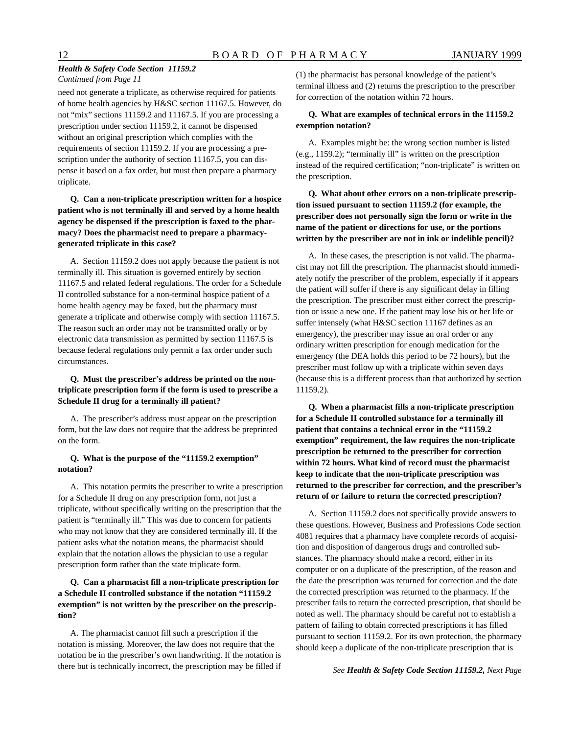#### *Health & Safety Code Section 11159.2 Continued from Page 11*

need not generate a triplicate, as otherwise required for patients of home health agencies by H&SC section 11167.5. However, do not "mix" sections 11159.2 and 11167.5. If you are processing a prescription under section 11159.2, it cannot be dispensed without an original prescription which complies with the requirements of section 11159.2. If you are processing a prescription under the authority of section 11167.5, you can dispense it based on a fax order, but must then prepare a pharmacy triplicate.

**Q. Can a non-triplicate prescription written for a hospice patient who is not terminally ill and served by a home health agency be dispensed if the prescription is faxed to the pharmacy? Does the pharmacist need to prepare a pharmacygenerated triplicate in this case?** 

A. Section 11159.2 does not apply because the patient is not terminally ill. This situation is governed entirely by section 11167.5 and related federal regulations. The order for a Schedule II controlled substance for a non-terminal hospice patient of a home health agency may be faxed, but the pharmacy must generate a triplicate and otherwise comply with section 11167.5. The reason such an order may not be transmitted orally or by electronic data transmission as permitted by section 11167.5 is because federal regulations only permit a fax order under such circumstances.

#### **Q. Must the prescriber's address be printed on the nontriplicate prescription form if the form is used to prescribe a Schedule II drug for a terminally ill patient?**

A. The prescriber's address must appear on the prescription form, but the law does not require that the address be preprinted on the form.

#### **Q. What is the purpose of the "11159.2 exemption" notation?**

A. This notation permits the prescriber to write a prescription for a Schedule II drug on any prescription form, not just a triplicate, without specifically writing on the prescription that the patient is "terminally ill." This was due to concern for patients who may not know that they are considered terminally ill. If the patient asks what the notation means, the pharmacist should explain that the notation allows the physician to use a regular prescription form rather than the state triplicate form.

#### **Q. Can a pharmacist fill a non-triplicate prescription for a Schedule II controlled substance if the notation "11159.2 exemption" is not written by the prescriber on the prescription?**

A. The pharmacist cannot fill such a prescription if the notation is missing. Moreover, the law does not require that the notation be in the prescriber's own handwriting. If the notation is there but is technically incorrect, the prescription may be filled if (1) the pharmacist has personal knowledge of the patient's terminal illness and (2) returns the prescription to the prescriber for correction of the notation within 72 hours.

#### **Q. What are examples of technical errors in the 11159.2 exemption notation?**

A. Examples might be: the wrong section number is listed (e.g., 1159.2); "terminally ill" is written on the prescription instead of the required certification; "non-triplicate" is written on the prescription.

 **Q. What about other errors on a non-triplicate prescription issued pursuant to section 11159.2 (for example, the prescriber does not personally sign the form or write in the name of the patient or directions for use, or the portions written by the prescriber are not in ink or indelible pencil)?** 

A. In these cases, the prescription is not valid. The pharmacist may not fill the prescription. The pharmacist should immediately notify the prescriber of the problem, especially if it appears the patient will suffer if there is any significant delay in filling the prescription. The prescriber must either correct the prescription or issue a new one. If the patient may lose his or her life or suffer intensely (what H&SC section 11167 defines as an emergency), the prescriber may issue an oral order or any ordinary written prescription for enough medication for the emergency (the DEA holds this period to be 72 hours), but the prescriber must follow up with a triplicate within seven days (because this is a different process than that authorized by section 11159.2).

 **Q. When a pharmacist fills a non-triplicate prescription for a Schedule II controlled substance for a terminally ill patient that contains a technical error in the "11159.2 exemption" requirement, the law requires the non-triplicate prescription be returned to the prescriber for correction within 72 hours. What kind of record must the pharmacist keep to indicate that the non-triplicate prescription was returned to the prescriber for correction, and the prescriber's return of or failure to return the corrected prescription?** 

A. Section 11159.2 does not specifically provide answers to these questions. However, Business and Professions Code section 4081 requires that a pharmacy have complete records of acquisition and disposition of dangerous drugs and controlled substances. The pharmacy should make a record, either in its computer or on a duplicate of the prescription, of the reason and the date the prescription was returned for correction and the date the corrected prescription was returned to the pharmacy. If the prescriber fails to return the corrected prescription, that should be noted as well. The pharmacy should be careful not to establish a pattern of failing to obtain corrected prescriptions it has filled pursuant to section 11159.2. For its own protection, the pharmacy should keep a duplicate of the non-triplicate prescription that is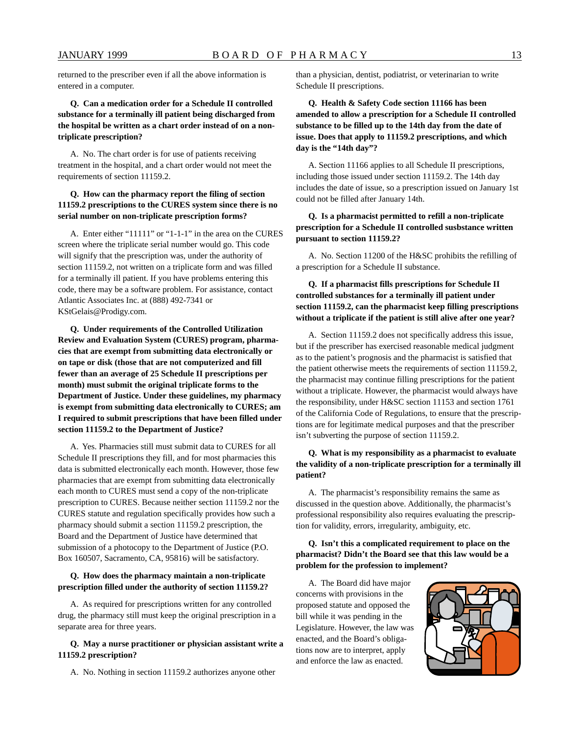returned to the prescriber even if all the above information is entered in a computer.

#### **Q. Can a medication order for a Schedule II controlled substance for a terminally ill patient being discharged from the hospital be written as a chart order instead of on a nontriplicate prescription?**

A. No. The chart order is for use of patients receiving treatment in the hospital, and a chart order would not meet the requirements of section 11159.2.

#### **Q. How can the pharmacy report the filing of section 11159.2 prescriptions to the CURES system since there is no serial number on non-triplicate prescription forms?**

A. Enter either "11111" or "1-1-1" in the area on the CURES screen where the triplicate serial number would go. This code will signify that the prescription was, under the authority of section 11159.2, not written on a triplicate form and was filled for a terminally ill patient. If you have problems entering this code, there may be a software problem. For assistance, contact Atlantic Associates Inc. at (888) 492-7341 or [KStGelais@Prodigy.com](mailto:KStGelais@Prodigy.com).

**Q. Under requirements of the Controlled Utilization Review and Evaluation System (CURES) program, pharmacies that are exempt from submitting data electronically or on tape or disk (those that are not computerized and fill fewer than an average of 25 Schedule II prescriptions per month) must submit the original triplicate forms to the Department of Justice. Under these guidelines, my pharmacy is exempt from submitting data electronically to CURES; am I required to submit prescriptions that have been filled under section 11159.2 to the Department of Justice?** 

A. Yes. Pharmacies still must submit data to CURES for all Schedule II prescriptions they fill, and for most pharmacies this data is submitted electronically each month. However, those few pharmacies that are exempt from submitting data electronically each month to CURES must send a copy of the non-triplicate prescription to CURES. Because neither section 11159.2 nor the CURES statute and regulation specifically provides how such a pharmacy should submit a section 11159.2 prescription, the Board and the Department of Justice have determined that submission of a photocopy to the Department of Justice (P.O. Box 160507, Sacramento, CA, 95816) will be satisfactory.

#### **Q. How does the pharmacy maintain a non-triplicate prescription filled under the authority of section 11159.2?**

A. As required for prescriptions written for any controlled drug, the pharmacy still must keep the original prescription in a separate area for three years.

#### **Q. May a nurse practitioner or physician assistant write a 11159.2 prescription?**

A. No. Nothing in section 11159.2 authorizes anyone other

than a physician, dentist, podiatrist, or veterinarian to write Schedule II prescriptions.

**Q. Health & Safety Code section 11166 has been amended to allow a prescription for a Schedule II controlled substance to be filled up to the 14th day from the date of issue. Does that apply to 11159.2 prescriptions, and which day is the "14th day"?** 

A. Section 11166 applies to all Schedule II prescriptions, including those issued under section 11159.2. The 14th day includes the date of issue, so a prescription issued on January 1st could not be filled after January 14th.

#### **Q. Is a pharmacist permitted to refill a non-triplicate prescription for a Schedule II controlled susbstance written pursuant to section 11159.2?**

A. No. Section 11200 of the H&SC prohibits the refilling of a prescription for a Schedule II substance.

#### **Q. If a pharmacist fills prescriptions for Schedule II controlled substances for a terminally ill patient under section 11159.2, can the pharmacist keep filling prescriptions without a triplicate if the patient is still alive after one year?**

A. Section 11159.2 does not specifically address this issue, but if the prescriber has exercised reasonable medical judgment as to the patient's prognosis and the pharmacist is satisfied that the patient otherwise meets the requirements of section 11159.2, the pharmacist may continue filling prescriptions for the patient without a triplicate. However, the pharmacist would always have the responsibility, under H&SC section 11153 and section 1761 of the California Code of Regulations, to ensure that the prescriptions are for legitimate medical purposes and that the prescriber isn't subverting the purpose of section 11159.2.

#### **Q. What is my responsibility as a pharmacist to evaluate the validity of a non-triplicate prescription for a terminally ill patient?**

A. The pharmacist's responsibility remains the same as discussed in the question above. Additionally, the pharmacist's professional responsibility also requires evaluating the prescription for validity, errors, irregularity, ambiguity, etc.

#### **Q. Isn't this a complicated requirement to place on the pharmacist? Didn't the Board see that this law would be a problem for the profession to implement?**

A. The Board did have major concerns with provisions in the proposed statute and opposed the bill while it was pending in the Legislature. However, the law was enacted, and the Board's obligations now are to interpret, apply and enforce the law as enacted.

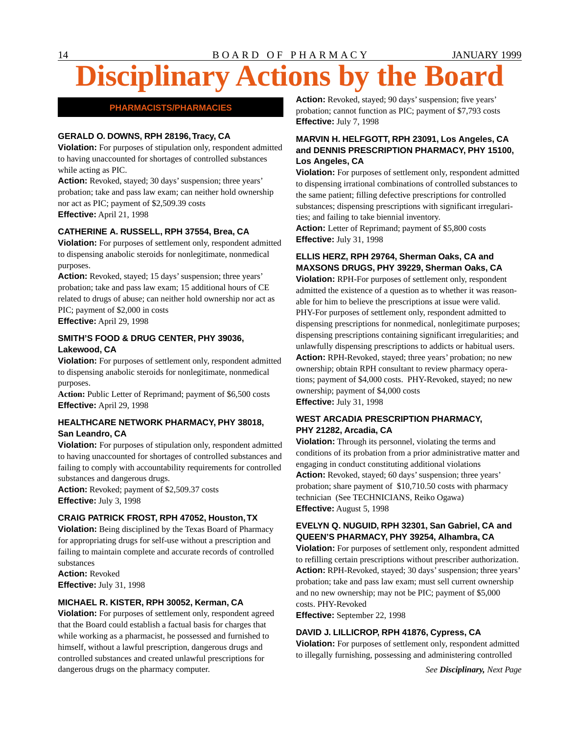# **Disciplinary Actions by the Board**

## **PHARMACISTS/PHARMACIES**

#### **GERALD O. DOWNS, RPH 28196,Tracy, CA**

**Violation:** For purposes of stipulation only, respondent admitted to having unaccounted for shortages of controlled substances while acting as PIC.

**Action:** Revoked, stayed; 30 days' suspension; three years' probation; take and pass law exam; can neither hold ownership nor act as PIC; payment of [\\$2,509.39](https://2,509.39) costs **Effective:** April 21, 1998

#### **CATHERINE A. RUSSELL, RPH 37554, Brea, CA**

**Violation:** For purposes of settlement only, respondent admitted to dispensing anabolic steroids for nonlegitimate, nonmedical purposes.

**Action:** Revoked, stayed; 15 days' suspension; three years' probation; take and pass law exam; 15 additional hours of CE related to drugs of abuse; can neither hold ownership nor act as PIC; payment of \$2,000 in costs **Effective:** April 29, 1998

#### **SMITH'S FOOD & DRUG CENTER, PHY 39036, Lakewood, CA**

**Violation:** For purposes of settlement only, respondent admitted to dispensing anabolic steroids for nonlegitimate, nonmedical purposes.

Action: Public Letter of Reprimand; payment of \$6,500 costs **Effective:** April 29, 1998

#### **HEALTHCARE NETWORK PHARMACY, PHY 38018, San Leandro, CA**

**Violation:** For purposes of stipulation only, respondent admitted to having unaccounted for shortages of controlled substances and failing to comply with accountability requirements for controlled substances and dangerous drugs.

**Action:** Revoked; payment of \$[2,509.37](https://2,509.37) costs **Effective:** July 3, 1998

#### **CRAIG PATRICK FROST, RPH 47052, Houston, TX**

**Violation:** Being disciplined by the Texas Board of Pharmacy for appropriating drugs for self-use without a prescription and failing to maintain complete and accurate records of controlled substances

**Action:** Revoked **Effective:** July 31, 1998

#### **MICHAEL R. KISTER, RPH 30052, Kerman, CA**

**Violation:** For purposes of settlement only, respondent agreed that the Board could establish a factual basis for charges that while working as a pharmacist, he possessed and furnished to himself, without a lawful prescription, dangerous drugs and controlled substances and created unlawful prescriptions for dangerous drugs on the pharmacy computer. *See Disciplinary, Next Page* 

**Action:** Revoked, stayed; 90 days' suspension; five years' probation; cannot function as PIC; payment of \$7,793 costs **Effective:** July 7, 1998

#### **MARVIN H. HELFGOTT, RPH 23091, Los Angeles, CA and DENNIS PRESCRIPTION PHARMACY, PHY 15100, Los Angeles, CA**

**Violation:** For purposes of settlement only, respondent admitted to dispensing irrational combinations of controlled substances to the same patient; filling defective prescriptions for controlled substances; dispensing prescriptions with significant irregularities; and failing to take biennial inventory.

Action: Letter of Reprimand; payment of \$5,800 costs **Effective:** July 31, 1998

### **ELLIS HERZ, RPH 29764, Sherman Oaks, CA and MAXSONS DRUGS, PHY 39229, Sherman Oaks, CA**

**Violation:** RPH-For purposes of settlement only, respondent admitted the existence of a question as to whether it was reasonable for him to believe the prescriptions at issue were valid. PHY-For purposes of settlement only, respondent admitted to dispensing prescriptions for nonmedical, nonlegitimate purposes; dispensing prescriptions containing significant irregularities; and unlawfully dispensing prescriptions to addicts or habitual users. **Action:** RPH-Revoked, stayed; three years' probation; no new ownership; obtain RPH consultant to review pharmacy operations; payment of \$4,000 costs. PHY-Revoked, stayed; no new ownership; payment of \$4,000 costs **Effective:** July 31, 1998

### **WEST ARCADIA PRESCRIPTION PHARMACY, PHY 21282, Arcadia, CA**

**Violation:** Through its personnel, violating the terms and conditions of its probation from a prior administrative matter and engaging in conduct constituting additional violations **Action:** Revoked, stayed; 60 days' suspension; three years' probation; share payment of \$[10,710.50](https://10,710.50) costs with pharmacy technician (See TECHNICIANS, Reiko Ogawa) **Effective:** August 5, 1998

#### **EVELYN Q. NUGUID, RPH 32301, San Gabriel, CA and QUEEN'S PHARMACY, PHY 39254, Alhambra, CA**

**Violation:** For purposes of settlement only, respondent admitted to refilling certain prescriptions without prescriber authorization. **Action:** RPH-Revoked, stayed; 30 days' suspension; three years' probation; take and pass law exam; must sell current ownership and no new ownership; may not be PIC; payment of \$5,000 costs. PHY-Revoked

**Effective:** September 22, 1998

#### **DAVID J. LILLICROP, RPH 41876, Cypress, CA**

**Violation:** For purposes of settlement only, respondent admitted to illegally furnishing, possessing and administering controlled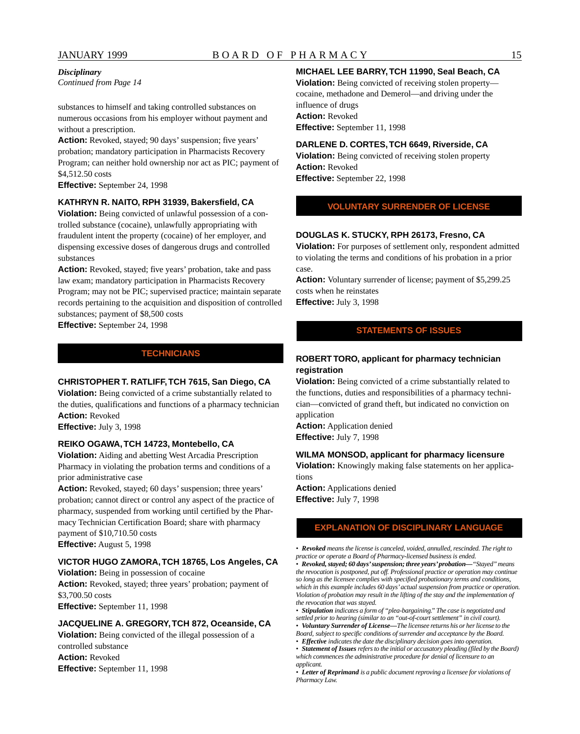#### *Disciplinary*

*Continued from Page 14* 

substances to himself and taking controlled substances on numerous occasions from his employer without payment and without a prescription.

Action: Revoked, stayed; 90 days' suspension; five years' probation; mandatory participation in Pharmacists Recovery Program; can neither hold ownership nor act as PIC; payment of [\\$4,512.50](https://4,512.50) costs

**Effective:** September 24, 1998

#### **KATHRYN R. NAITO, RPH 31939, Bakersfield, CA**

**Violation:** Being convicted of unlawful possession of a controlled substance (cocaine), unlawfully appropriating with fraudulent intent the property (cocaine) of her employer, and dispensing excessive doses of dangerous drugs and controlled substances

**Action:** Revoked, stayed; five years' probation, take and pass law exam; mandatory participation in Pharmacists Recovery Program; may not be PIC; supervised practice; maintain separate records pertaining to the acquisition and disposition of controlled substances; payment of \$8,500 costs

**Effective:** September 24, 1998

#### **TECHNICIANS**

#### **CHRISTOPHER T. RATLIFF, TCH 7615, San Diego, CA**

**Violation:** Being convicted of a crime substantially related to the duties, qualifications and functions of a pharmacy technician **Action:** Revoked

**Effective:** July 3, 1998

#### **REIKO OGAWA, TCH 14723, Montebello, CA**

**Violation:** Aiding and abetting West Arcadia Prescription Pharmacy in violating the probation terms and conditions of a prior administrative case

Action: Revoked, stayed; 60 days' suspension; three years' probation; cannot direct or control any aspect of the practice of pharmacy, suspended from working until certified by the Pharmacy Technician Certification Board; share with pharmacy payment of \$[10,710.50](https://10,710.50) costs **Effective:** August 5, 1998

#### **VICTOR HUGO ZAMORA,TCH 18765, Los Angeles, CA**

**Violation:** Being in possession of cocaine **Action:** Revoked, stayed; three years' probation; payment of [\\$3,700.50](https://3,700.50) costs **Effective:** September 11, 1998

#### **JACQUELINE A. GREGORY, TCH 872, Oceanside, CA**

**Violation:** Being convicted of the illegal possession of a controlled substance **Action:** Revoked **Effective:** September 11, 1998

#### **MICHAEL LEE BARRY,TCH 11990, Seal Beach, CA**

**Violation:** Being convicted of receiving stolen property cocaine, methadone and Demerol—and driving under the influence of drugs **Action:** Revoked **Effective:** September 11, 1998

#### **DARLENE D. CORTES, TCH 6649, Riverside, CA**

**Violation:** Being convicted of receiving stolen property **Action:** Revoked **Effective:** September 22, 1998

**VOLUNTARY SURRENDER OF LICENSE** 

#### **DOUGLAS K. STUCKY, RPH 26173, Fresno, CA**

**Violation:** For purposes of settlement only, respondent admitted to violating the terms and conditions of his probation in a prior case.

**Action:** Voluntary surrender of license; payment of [\\$5,299.25](https://5,299.25) costs when he reinstates **Effective:** July 3, 1998

#### **STATEMENTS OF ISSUES**

#### **ROBERT TORO, applicant for pharmacy technician registration**

**Violation:** Being convicted of a crime substantially related to the functions, duties and responsibilities of a pharmacy technician—convicted of grand theft, but indicated no conviction on application

**Action:** Application denied **Effective:** July 7, 1998

#### **WILMA MONSOD, applicant for pharmacy licensure**

**Violation:** Knowingly making false statements on her applications

**Action:** Applications denied **Effective:** July 7, 1998

#### **EXPLANATION OF DISCIPLINARY LANGUAGE**

*• Revoked means the license is canceled, voided, annulled, rescinded. The right to practice or operate a Board of Pharmacy-licensed business is ended.* 

*• Revoked, stayed; 60 days' suspension; three years' probation—"Stayed" means the revocation is postponed, put off. Professional practice or operation may continue so long as the licensee complies with specified probationary terms and conditions, which in this example includes 60 days' actual suspension from practice or operation.*  Violation of probation may result in the lifting of the stay and the implementation of *the revocation that was stayed.* 

*• Stipulation indicates a form of "plea-bargaining." The case is negotiated and settled prior to hearing (similar to an "out-of-court settlement" in civil court).* 

- *Voluntary Surrender of License—The licensee returns his or her license to the*
- *Board, subject to specific conditions of surrender and acceptance by the Board.*
- *Effective indicates the date the disciplinary decision goes into operation.*

*• Statement of Issues refers to the initial or accusatory pleading (filed by the Board) which commences the administrative procedure for denial of licensure to an applicant.* 

*• Letter of Reprimand is a public document reproving a licensee for violations of Pharmacy Law.*